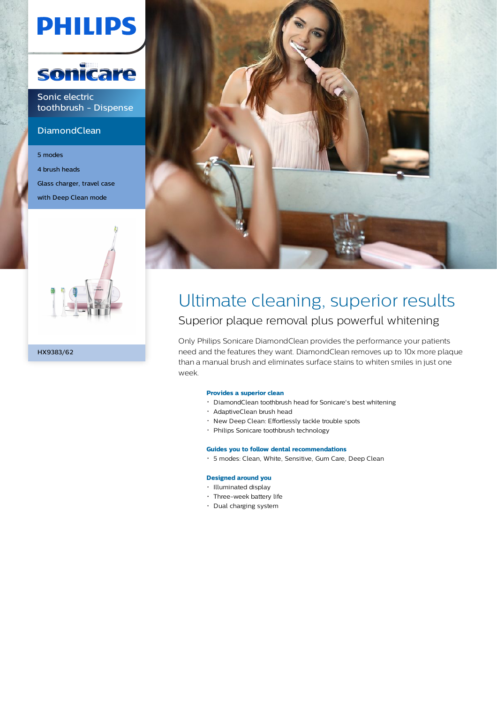# **PHILIPS**



Sonic electric toothbrush - Dispense

#### **DiamondClean**

5 modes 4 brush heads Glass charger, travel case with Deep Clean mode





### Ultimate cleaning, superior results Superior plaque removal plus powerful whitening

Only Philips Sonicare DiamondClean provides the performance your patients need and the features they want. DiamondClean removes up to 10x more plaque than a manual brush and eliminates surface stains to whiten smiles in just one week.

#### **Provides a superior clean**

- DiamondClean toothbrush head for Sonicare's best whitening
- AdaptiveClean brush head
- New Deep Clean: Effortlessly tackle trouble spots
- Philips Sonicare toothbrush technology

#### **Guides you to follow dental recommendations**

5 modes: Clean, White, Sensitive, Gum Care, Deep Clean

#### **Designed around you**

- Illuminated display
- Three-week battery life
- Dual charging system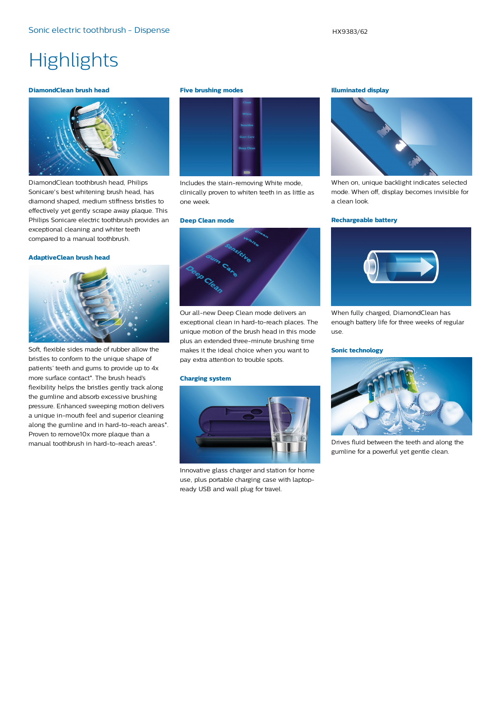## **Highlights**

#### **DiamondClean brush head**



DiamondClean toothbrush head, Philips Sonicare's best whitening brush head, has diamond shaped, medium stiffness bristles to effectively yet gently scrape away plaque. This Philips Sonicare electric toothbrush provides an exceptional cleaning and whiter teeth compared to a manual toothbrush.

#### **AdaptiveClean brush head**



Soft, flexible sides made of rubber allow the bristles to conform to the unique shape of patients' teeth and gums to provide up to 4x more surface contact\*. The brush head's flexibility helps the bristles gently track along the gumline and absorb excessive brushing pressure. Enhanced sweeping motion delivers a unique in-mouth feel and superior cleaning along the gumline and in hard-to-reach areas\*. Proven to remove10x more plaque than a manual toothbrush in hard-to-reach areas\*.

#### **Five brushing modes**



Includes the stain-removing White mode, clinically proven to whiten teeth in as little as one week.

#### **Deep Clean mode**



Our all-new Deep Clean mode delivers an exceptional clean in hard-to-reach places. The unique motion of the brush head in this mode plus an extended three-minute brushing time makes it the ideal choice when you want to pay extra attention to trouble spots.

#### **Charging system**



Innovative glass charger and station for home use, plus portable charging case with laptopready USB and wall plug for travel.

#### **Illuminated display**



When on, unique backlight indicates selected mode. When off, display becomes invisible for a clean look.

#### **Rechargeable battery**



When fully charged, DiamondClean has enough battery life for three weeks of regular use.

#### **Sonic technology**



Drives fluid between the teeth and along the gumline for a powerful yet gentle clean.